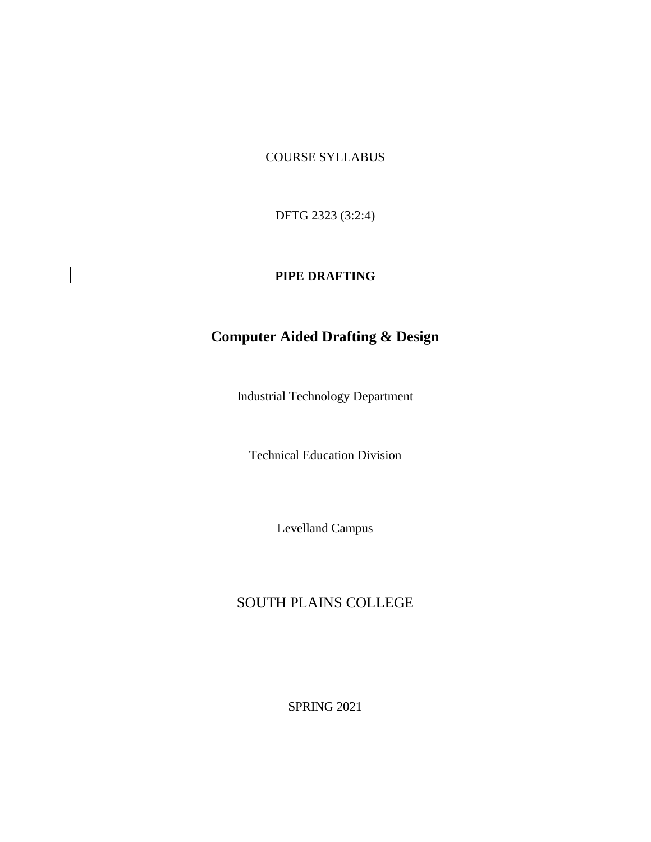# COURSE SYLLABUS

DFTG 2323 (3:2:4)

### **PIPE DRAFTING**

# **Computer Aided Drafting & Design**

Industrial Technology Department

Technical Education Division

Levelland Campus

# SOUTH PLAINS COLLEGE

SPRING 2021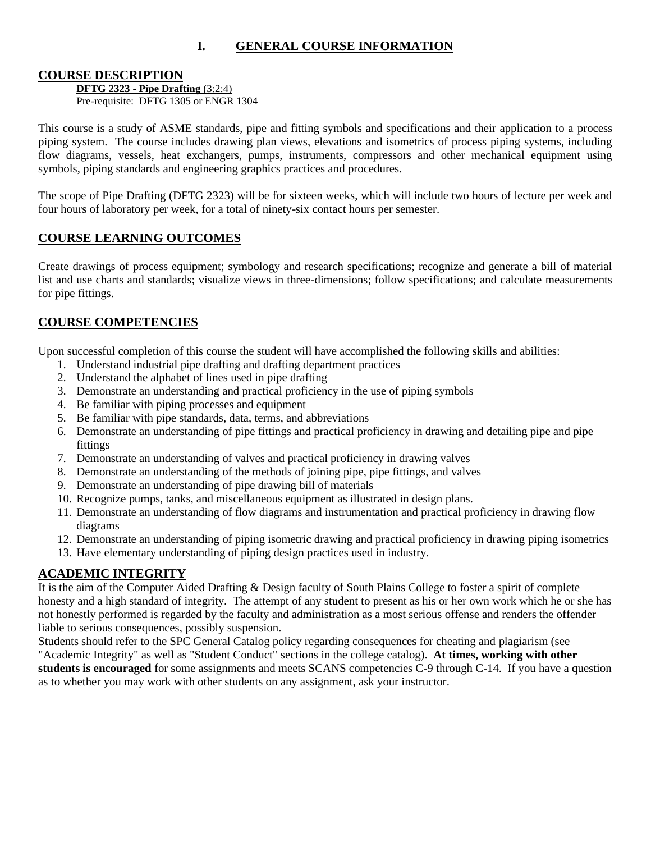# **I. GENERAL COURSE INFORMATION**

#### **COURSE DESCRIPTION**

**DFTG 2323 - Pipe Drafting** (3:2:4) Pre-requisite: DFTG 1305 or ENGR 1304

This course is a study of ASME standards, pipe and fitting symbols and specifications and their application to a process piping system. The course includes drawing plan views, elevations and isometrics of process piping systems, including flow diagrams, vessels, heat exchangers, pumps, instruments, compressors and other mechanical equipment using symbols, piping standards and engineering graphics practices and procedures.

The scope of Pipe Drafting (DFTG 2323) will be for sixteen weeks, which will include two hours of lecture per week and four hours of laboratory per week, for a total of ninety-six contact hours per semester.

#### **COURSE LEARNING OUTCOMES**

Create drawings of process equipment; symbology and research specifications; recognize and generate a bill of material list and use charts and standards; visualize views in three-dimensions; follow specifications; and calculate measurements for pipe fittings.

#### **COURSE COMPETENCIES**

Upon successful completion of this course the student will have accomplished the following skills and abilities:

- 1. Understand industrial pipe drafting and drafting department practices
- 2. Understand the alphabet of lines used in pipe drafting
- 3. Demonstrate an understanding and practical proficiency in the use of piping symbols
- 4. Be familiar with piping processes and equipment
- 5. Be familiar with pipe standards, data, terms, and abbreviations
- 6. Demonstrate an understanding of pipe fittings and practical proficiency in drawing and detailing pipe and pipe fittings
- 7. Demonstrate an understanding of valves and practical proficiency in drawing valves
- 8. Demonstrate an understanding of the methods of joining pipe, pipe fittings, and valves
- 9. Demonstrate an understanding of pipe drawing bill of materials
- 10. Recognize pumps, tanks, and miscellaneous equipment as illustrated in design plans.
- 11. Demonstrate an understanding of flow diagrams and instrumentation and practical proficiency in drawing flow diagrams
- 12. Demonstrate an understanding of piping isometric drawing and practical proficiency in drawing piping isometrics
- 13. Have elementary understanding of piping design practices used in industry.

### **ACADEMIC INTEGRITY**

It is the aim of the Computer Aided Drafting & Design faculty of South Plains College to foster a spirit of complete honesty and a high standard of integrity. The attempt of any student to present as his or her own work which he or she has not honestly performed is regarded by the faculty and administration as a most serious offense and renders the offender liable to serious consequences, possibly suspension.

Students should refer to the SPC General Catalog policy regarding consequences for cheating and plagiarism (see "Academic Integrity" as well as "Student Conduct" sections in the college catalog). **At times, working with other students is encouraged** for some assignments and meets SCANS competencies C-9 through C-14. If you have a question as to whether you may work with other students on any assignment, ask your instructor.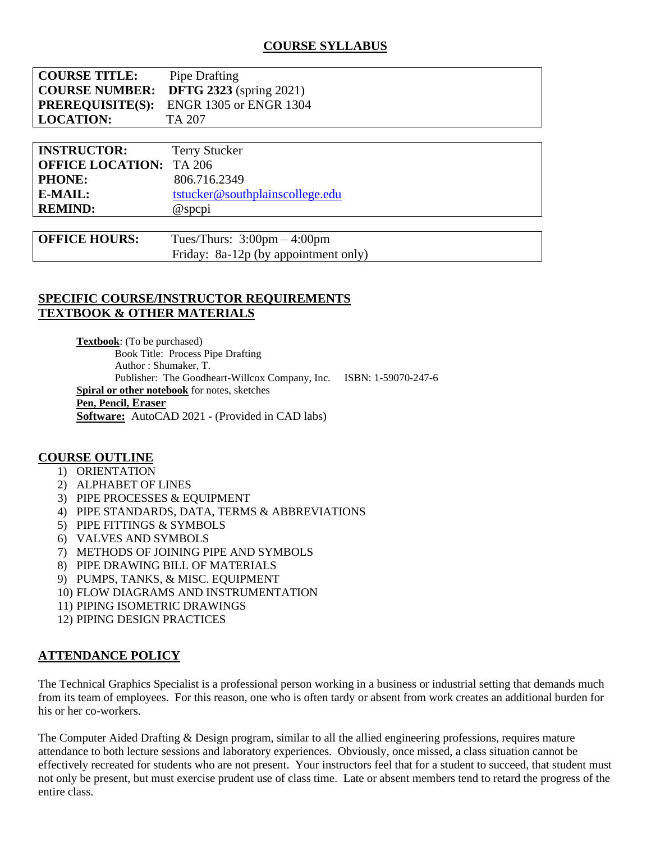| <b>COURSE TITLE:</b> | Pipe Drafting                                  |
|----------------------|------------------------------------------------|
|                      | <b>COURSE NUMBER:</b> DFTG 2323 (spring 2021)  |
|                      | <b>PREREQUISITE(S):</b> ENGR 1305 or ENGR 1304 |
| <b>LOCATION:</b>     | TA 207                                         |

| <b>INSTRUCTOR:</b>             | <b>Terry Stucker</b>            |
|--------------------------------|---------------------------------|
| <b>OFFICE LOCATION: TA 206</b> |                                 |
| <b>PHONE:</b>                  | 806.716.2349                    |
| E-MAIL:                        | tstucker@southplainscollege.edu |
| <b>REMIND:</b>                 | @spcpi                          |
|                                |                                 |

| <b>OFFICE HOURS:</b> | Tues/Thurs: $3:00 \text{pm} - 4:00 \text{pm}$ |
|----------------------|-----------------------------------------------|
|                      | Friday: $8a-12p$ (by appointment only)        |

# **SPECIFIC COURSE/INSTRUCTOR REQUIREMENTS TEXTBOOK & OTHER MATERIALS**

**Textbook**: (To be purchased) Book Title: Process Pipe Drafting Author : Shumaker, T. Publisher: The Goodheart-Willcox Company, Inc. ISBN: 1-59070-247-6 **Spiral or other notebook** for notes, sketches **Pen, Pencil, Eraser Software:** AutoCAD 2021 - (Provided in CAD labs)

#### **COURSE OUTLINE**

- 1) ORIENTATION
- 2) ALPHABET OF LINES
- 3) PIPE PROCESSES & EQUIPMENT
- 4) PIPE STANDARDS, DATA, TERMS & ABBREVIATIONS
- 5) PIPE FITTINGS & SYMBOLS
- 6) VALVES AND SYMBOLS
- 7) METHODS OF JOINING PIPE AND SYMBOLS
- 8) PIPE DRAWING BILL OF MATERIALS
- 9) PUMPS, TANKS, & MISC. EQUIPMENT
- 10) FLOW DIAGRAMS AND INSTRUMENTATION
- 11) PIPING ISOMETRIC DRAWINGS
- 12) PIPING DESIGN PRACTICES

# **ATTENDANCE POLICY**

The Technical Graphics Specialist is a professional person working in a business or industrial setting that demands much from its team of employees. For this reason, one who is often tardy or absent from work creates an additional burden for his or her co-workers.

The Computer Aided Drafting & Design program, similar to all the allied engineering professions, requires mature attendance to both lecture sessions and laboratory experiences. Obviously, once missed, a class situation cannot be effectively recreated for students who are not present. Your instructors feel that for a student to succeed, that student must not only be present, but must exercise prudent use of class time. Late or absent members tend to retard the progress of the entire class.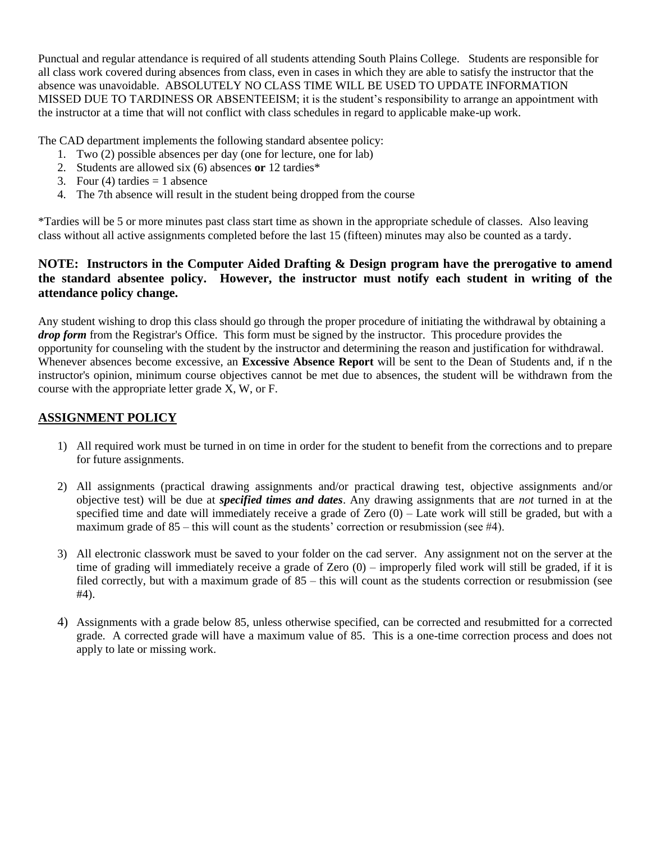Punctual and regular attendance is required of all students attending South Plains College. Students are responsible for all class work covered during absences from class, even in cases in which they are able to satisfy the instructor that the absence was unavoidable. ABSOLUTELY NO CLASS TIME WILL BE USED TO UPDATE INFORMATION MISSED DUE TO TARDINESS OR ABSENTEEISM; it is the student's responsibility to arrange an appointment with the instructor at a time that will not conflict with class schedules in regard to applicable make-up work.

The CAD department implements the following standard absentee policy:

- 1. Two (2) possible absences per day (one for lecture, one for lab)
- 2. Students are allowed six (6) absences **or** 12 tardies\*
- 3. Four (4) tardies  $= 1$  absence
- 4. The 7th absence will result in the student being dropped from the course

\*Tardies will be 5 or more minutes past class start time as shown in the appropriate schedule of classes. Also leaving class without all active assignments completed before the last 15 (fifteen) minutes may also be counted as a tardy.

### **NOTE: Instructors in the Computer Aided Drafting & Design program have the prerogative to amend the standard absentee policy. However, the instructor must notify each student in writing of the attendance policy change.**

Any student wishing to drop this class should go through the proper procedure of initiating the withdrawal by obtaining a *drop form* from the Registrar's Office. This form must be signed by the instructor. This procedure provides the opportunity for counseling with the student by the instructor and determining the reason and justification for withdrawal. Whenever absences become excessive, an **Excessive Absence Report** will be sent to the Dean of Students and, if n the instructor's opinion, minimum course objectives cannot be met due to absences, the student will be withdrawn from the course with the appropriate letter grade X, W, or F.

# **ASSIGNMENT POLICY**

- 1) All required work must be turned in on time in order for the student to benefit from the corrections and to prepare for future assignments.
- 2) All assignments (practical drawing assignments and/or practical drawing test, objective assignments and/or objective test) will be due at *specified times and dates*. Any drawing assignments that are *not* turned in at the specified time and date will immediately receive a grade of Zero  $(0)$  – Late work will still be graded, but with a maximum grade of  $85 -$  this will count as the students' correction or resubmission (see #4).
- 3) All electronic classwork must be saved to your folder on the cad server. Any assignment not on the server at the time of grading will immediately receive a grade of Zero (0) – improperly filed work will still be graded, if it is filed correctly, but with a maximum grade of 85 – this will count as the students correction or resubmission (see #4).
- 4) Assignments with a grade below 85, unless otherwise specified, can be corrected and resubmitted for a corrected grade. A corrected grade will have a maximum value of 85. This is a one-time correction process and does not apply to late or missing work.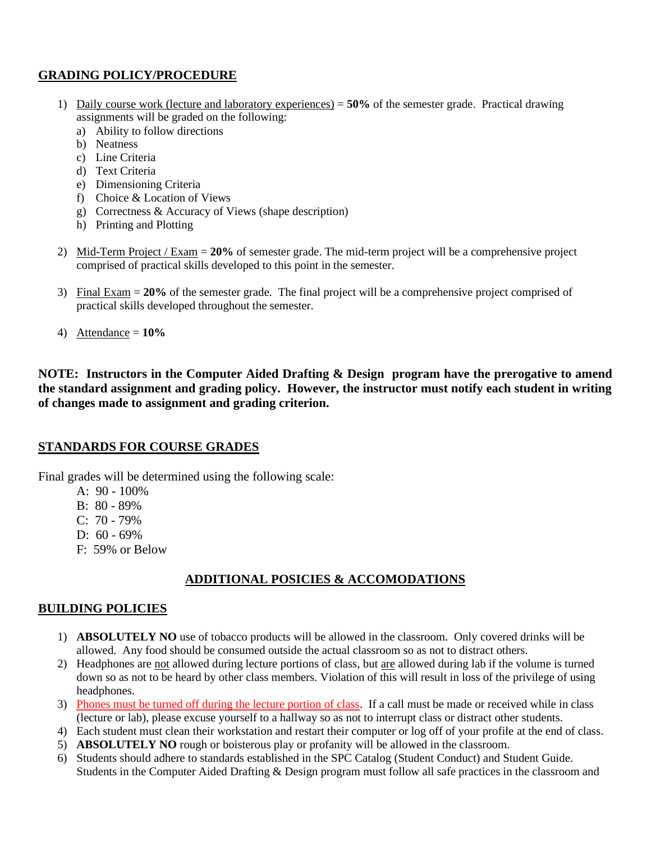# **GRADING POLICY/PROCEDURE**

- 1) Daily course work (lecture and laboratory experiences) = **50%** of the semester grade. Practical drawing assignments will be graded on the following:
	- a) Ability to follow directions
	- b) Neatness
	- c) Line Criteria
	- d) Text Criteria
	- e) Dimensioning Criteria
	- f) Choice & Location of Views
	- g) Correctness & Accuracy of Views (shape description)
	- h) Printing and Plotting
- 2) Mid-Term Project / Exam = **20%** of semester grade. The mid-term project will be a comprehensive project comprised of practical skills developed to this point in the semester.
- 3) Final Exam = **20%** of the semester grade. The final project will be a comprehensive project comprised of practical skills developed throughout the semester.
- 4) Attendance = **10%**

**NOTE: Instructors in the Computer Aided Drafting & Design program have the prerogative to amend the standard assignment and grading policy. However, the instructor must notify each student in writing of changes made to assignment and grading criterion.** 

### **STANDARDS FOR COURSE GRADES**

Final grades will be determined using the following scale:

- A: 90 100%
- B: 80 89%
- C: 70 79%
- D:  $60 69%$
- F: 59% or Below

### **ADDITIONAL POSICIES & ACCOMODATIONS**

#### **BUILDING POLICIES**

- 1) **ABSOLUTELY NO** use of tobacco products will be allowed in the classroom. Only covered drinks will be allowed. Any food should be consumed outside the actual classroom so as not to distract others.
- 2) Headphones are not allowed during lecture portions of class, but are allowed during lab if the volume is turned down so as not to be heard by other class members. Violation of this will result in loss of the privilege of using headphones.
- 3) Phones must be turned off during the lecture portion of class. If a call must be made or received while in class (lecture or lab), please excuse yourself to a hallway so as not to interrupt class or distract other students.
- 4) Each student must clean their workstation and restart their computer or log off of your profile at the end of class.
- 5) **ABSOLUTELY NO** rough or boisterous play or profanity will be allowed in the classroom.
- 6) Students should adhere to standards established in the SPC Catalog (Student Conduct) and Student Guide. Students in the Computer Aided Drafting & Design program must follow all safe practices in the classroom and